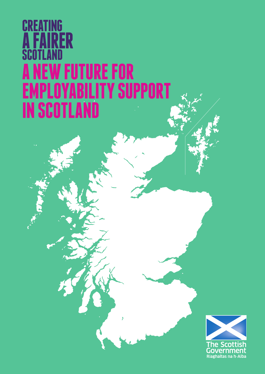# **CREATING A FAIRER SCOTLAND FUTURE FOR<br><sup>Yarıl</sup>ıty su EMPLOYABILITY SUPPORT IN SCOTLAND**

 $\overline{\phantom{a}}$ 

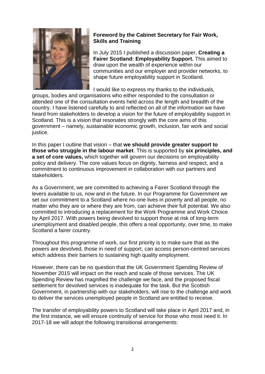

# **Foreword by the Cabinet Secretary for Fair Work, Skills and Training**

In July 2015 I published a discussion paper, **Creating a Fairer Scotland: Employability Support.** This aimed to draw upon the wealth of experience within our communities and our employer and provider networks, to shape future employability support in Scotland.

I would like to express my thanks to the individuals,

groups, bodies and organisations who either responded to the consultation or attended one of the consultation events held across the length and breadth of the country. I have listened carefully to and reflected on all of the information we have heard from stakeholders to develop a vision for the future of employability support in Scotland. This is a vision that resonates strongly with the core aims of this government – namely, sustainable economic growth, inclusion, fair work and social justice.

In this paper I outline that vision – that **we should provide greater support to those who struggle in the labour market**. This is supported by **six principles, and a set of core values,** which together will govern our decisions on employability policy and delivery. The core values focus on dignity, fairness and respect, and a commitment to continuous improvement in collaboration with our partners and stakeholders.

As a Government, we are committed to achieving a Fairer Scotland through the levers available to us, now and in the future. In our Programme for Government we set our commitment to a Scotland where no-one lives in poverty and all people, no matter who they are or where they are from, can achieve their full potential. We also committed to introducing a replacement for the Work Programme and Work Choice by April 2017. With powers being devolved to support those at risk of long-term unemployment and disabled people, this offers a real opportunity, over time, to make Scotland a fairer country.

Throughout this programme of work, our first priority is to make sure that as the powers are devolved, those in need of support, can access person-centred services which address their barriers to sustaining high quality employment.

However, there can be no question that the UK Government Spending Review of November 2015 will impact on the reach and scale of those services. The UK Spending Review has magnified the challenge we face, and the proposed fiscal settlement for devolved services is inadequate for the task. But the Scottish Government, in partnership with our stakeholders, will rise to the challenge and work to deliver the services unemployed people in Scotland are entitled to receive.

The transfer of employability powers to Scotland will take place in April 2017 and, in the first instance, we will ensure continuity of service for those who most need it. In 2017-18 we will adopt the following transitional arrangements: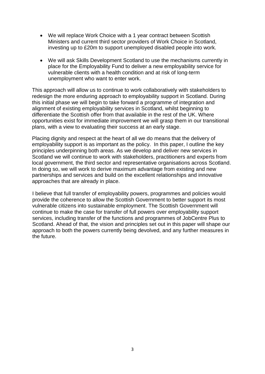- We will replace Work Choice with a 1 year contract between Scottish Ministers and current third sector providers of Work Choice in Scotland, investing up to £20m to support unemployed disabled people into work.
- We will ask Skills Development Scotland to use the mechanisms currently in place for the Employability Fund to deliver a new employability service for vulnerable clients with a health condition and at risk of long-term unemployment who want to enter work.

This approach will allow us to continue to work collaboratively with stakeholders to redesign the more enduring approach to employability support in Scotland. During this initial phase we will begin to take forward a programme of integration and alignment of existing employability services in Scotland, whilst beginning to differentiate the Scottish offer from that available in the rest of the UK. Where opportunities exist for immediate improvement we will grasp them in our transitional plans, with a view to evaluating their success at an early stage.

Placing dignity and respect at the heart of all we do means that the delivery of employability support is as important as the policy. In this paper, I outline the key principles underpinning both areas. As we develop and deliver new services in Scotland we will continue to work with stakeholders, practitioners and experts from local government, the third sector and representative organisations across Scotland. In doing so, we will work to derive maximum advantage from existing and new partnerships and services and build on the excellent relationships and innovative approaches that are already in place.

I believe that full transfer of employability powers, programmes and policies would provide the coherence to allow the Scottish Government to better support its most vulnerable citizens into sustainable employment. The Scottish Government will continue to make the case for transfer of full powers over employability support services, including transfer of the functions and programmes of JobCentre Plus to Scotland. Ahead of that, the vision and principles set out in this paper will shape our approach to both the powers currently being devolved, and any further measures in the future.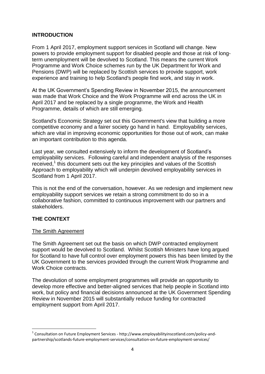# **INTRODUCTION**

From 1 April 2017, employment support services in Scotland will change. New powers to provide employment support for disabled people and those at risk of longterm unemployment will be devolved to Scotland. This means the current Work Programme and Work Choice schemes run by the UK Department for Work and Pensions (DWP) will be replaced by Scottish services to provide support, work experience and training to help Scotland's people find work, and stay in work.

At the UK Government's Spending Review in November 2015, the announcement was made that Work Choice and the Work Programme will end across the UK in April 2017 and be replaced by a single programme, the Work and Health Programme, details of which are still emerging.

Scotland's Economic Strategy set out this Government's view that building a more competitive economy and a fairer society go hand in hand. Employability services, which are vital in improving economic opportunities for those out of work, can make an important contribution to this agenda.

Last year, we consulted extensively to inform the development of Scotland's employability services. Following careful and independent analysis of the responses received, 1 this document sets out the key principles and values of the Scottish Approach to employability which will underpin devolved employability services in Scotland from 1 April 2017.

This is not the end of the conversation, however. As we redesign and implement new employability support services we retain a strong commitment to do so in a collaborative fashion, committed to continuous improvement with our partners and stakeholders.

# **THE CONTEXT**

# The Smith Agreement

The Smith Agreement set out the basis on which DWP contracted employment support would be devolved to Scotland. Whilst Scottish Ministers have long argued for Scotland to have full control over employment powers this has been limited by the UK Government to the services provided through the current Work Programme and Work Choice contracts.

The devolution of some employment programmes will provide an opportunity to develop more effective and better-aligned services that help people in Scotland into work, but policy and financial decisions announced at the UK Government Spending Review in November 2015 will substantially reduce funding for contracted employment support from April 2017.

<sup>1</sup> <sup>1</sup> Consultation on Future Employment Services - http://www.employabilityinscotland.com/policy-andpartnership/scotlands-future-employment-services/consultation-on-future-employment-services/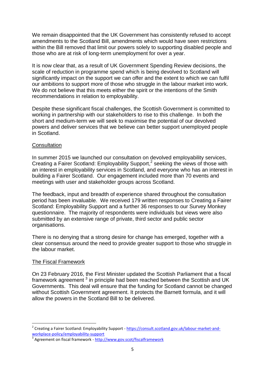We remain disappointed that the UK Government has consistently refused to accept amendments to the Scotland Bill, amendments which would have seen restrictions within the Bill removed that limit our powers solely to supporting disabled people and those who are at risk of long-term unemployment for over a year.

It is now clear that, as a result of UK Government Spending Review decisions, the scale of reduction in programme spend which is being devolved to Scotland will significantly impact on the support we can offer and the extent to which we can fulfil our ambitions to support more of those who struggle in the labour market into work. We do not believe that this meets either the spirit or the intentions of the Smith recommendations in relation to employability.

Despite these significant fiscal challenges, the Scottish Government is committed to working in partnership with our stakeholders to rise to this challenge. In both the short and medium-term we will seek to maximise the potential of our devolved powers and deliver services that we believe can better support unemployed people in Scotland.

# **Consultation**

In summer 2015 we launched our consultation on devolved employability services, Creating a Fairer Scotland: Employability Support,<sup>2</sup> seeking the views of those with an interest in employability services in Scotland, and everyone who has an interest in building a Fairer Scotland. Our engagement included more than 70 events and meetings with user and stakeholder groups across Scotland.

The feedback, input and breadth of experience shared throughout the consultation period has been invaluable. We received 179 written responses to Creating a Fairer Scotland: Employability Support and a further 36 responses to our Survey Monkey questionnaire. The majority of respondents were individuals but views were also submitted by an extensive range of private, third sector and public sector organisations.

There is no denying that a strong desire for change has emerged, together with a clear consensus around the need to provide greater support to those who struggle in the labour market.

# The Fiscal Framework

**.** 

On 23 February 2016, the First Minister updated the Scottish Parliament that a fiscal framework agreement  $3$  in principle had been reached between the Scottish and UK Governments. This deal will ensure that the funding for Scotland cannot be changed without Scottish Government agreement. It protects the Barnett formula, and it will allow the powers in the Scotland Bill to be delivered.

<sup>2</sup> Creating a Fairer Scotland: Employability Support - [https://consult.scotland.gov.uk/labour-market-and](https://consult.scotland.gov.uk/labour-market-and-workplace-policy/employability-support)[workplace-policy/employability-support](https://consult.scotland.gov.uk/labour-market-and-workplace-policy/employability-support) 

<sup>&</sup>lt;sup>3</sup> Agreement on fiscal framework - <http://www.gov.scot/fiscalframework>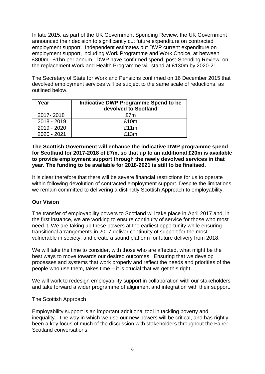In late 2015, as part of the UK Government Spending Review, the UK Government announced their decision to significantly cut future expenditure on contracted employment support. Independent estimates put DWP current expenditure on employment support, including Work Programme and Work Choice, at between £800m - £1bn per annum. DWP have confirmed spend, post-Spending Review, on the replacement Work and Health Programme will stand at £130m by 2020-21.

The Secretary of State for Work and Pensions confirmed on 16 December 2015 that devolved employment services will be subject to the same scale of reductions, as outlined below.

| Year        | Indicative DWP Programme Spend to be<br>devolved to Scotland |
|-------------|--------------------------------------------------------------|
| 2017-2018   | £7m                                                          |
| 2018 - 2019 | £10m                                                         |
| 2019 - 2020 | £11m                                                         |
| 2020 - 2021 | £13m                                                         |

# **The Scottish Government will enhance the indicative DWP programme spend for Scotland for 2017-2018 of £7m, so that up to an additional £20m is available to provide employment support through the newly devolved services in that year. The funding to be available for 2018-2021 is still to be finalised.**

It is clear therefore that there will be severe financial restrictions for us to operate within following devolution of contracted employment support. Despite the limitations, we remain committed to delivering a distinctly Scottish Approach to employability.

# **Our Vision**

The transfer of employability powers to Scotland will take place in April 2017 and, in the first instance, we are working to ensure continuity of service for those who most need it. We are taking up these powers at the earliest opportunity while ensuring transitional arrangements in 2017 deliver continuity of support for the most vulnerable in society, and create a sound platform for future delivery from 2018.

We will take the time to consider, with those who are affected, what might be the best ways to move towards our desired outcomes. Ensuring that we develop processes and systems that work properly and reflect the needs and priorities of the people who use them, takes time – it is crucial that we get this right.

We will work to redesign employability support in collaboration with our stakeholders and take forward a wider programme of alignment and integration with their support.

#### The Scottish Approach

Employability support is an important additional tool in tackling poverty and inequality. The way in which we use our new powers will be critical, and has rightly been a key focus of much of the discussion with stakeholders throughout the Fairer Scotland conversations.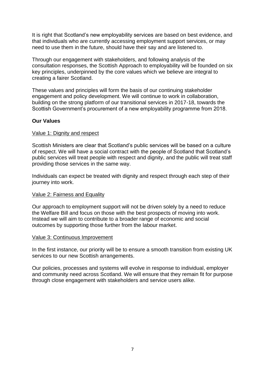It is right that Scotland's new employability services are based on best evidence, and that individuals who are currently accessing employment support services, or may need to use them in the future, should have their say and are listened to.

Through our engagement with stakeholders, and following analysis of the consultation responses, the Scottish Approach to employability will be founded on six key principles, underpinned by the core values which we believe are integral to creating a fairer Scotland.

These values and principles will form the basis of our continuing stakeholder engagement and policy development. We will continue to work in collaboration, building on the strong platform of our transitional services in 2017-18, towards the Scottish Government's procurement of a new employability programme from 2018.

# **Our Values**

# Value 1: Dignity and respect

Scottish Ministers are clear that Scotland's public services will be based on a culture of respect. We will have a social contract with the people of Scotland that Scotland's public services will treat people with respect and dignity, and the public will treat staff providing those services in the same way.

Individuals can expect be treated with dignity and respect through each step of their journey into work.

# Value 2: Fairness and Equality

Our approach to employment support will not be driven solely by a need to reduce the Welfare Bill and focus on those with the best prospects of moving into work. Instead we will aim to contribute to a broader range of economic and social outcomes by supporting those further from the labour market.

#### Value 3: Continuous Improvement

In the first instance, our priority will be to ensure a smooth transition from existing UK services to our new Scottish arrangements.

Our policies, processes and systems will evolve in response to individual, employer and community need across Scotland. We will ensure that they remain fit for purpose through close engagement with stakeholders and service users alike.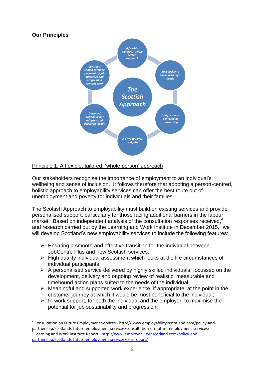

# Principle 1: A flexible, tailored, 'whole person' approach

Our stakeholders recognise the importance of employment to an individual's wellbeing and sense of inclusion. It follows therefore that adopting a person-centred, holistic approach to employability services can offer the best route out of unemployment and poverty for individuals and their families.

The Scottish Approach to employability must build on existing services and provide personalised support, particularly for those facing additional barriers in the labour market. Based on independent analysis of the consultation responses received,<sup>4</sup> and research carried out by the Learning and Work Institute in December 2015, $5$  we will develop Scotland's new employability services to include the following features:

- $\triangleright$  Ensuring a smooth and effective transition for the individual between JobCentre Plus and new Scottish services;
- $\triangleright$  High quality individual assessment which looks at the life circumstances of individual participants;
- $\triangleright$  A personalised service delivered by highly skilled individuals, focussed on the development, delivery and ongoing review of realistic, measurable and timebound action plans suited to the needs of the individual;
- $\triangleright$  Meaningful and supported work experience, if appropriate, at the point in the customer journey at which it would be most beneficial to the individual;
- $\triangleright$  In-work support, for both the individual and the employer, to maximise the potential for job sustainability and progression;

**.** 

<sup>4</sup> Consultation on Future Employment Services - http://www.employabilityinscotland.com/policy-andpartnership/scotlands-future-employment-services/consultation-on-future-employment-services/ 5 Learning and Work Institute Report - [http://www.employabilityinscotland.com/policy-and](http://www.employabilityinscotland.com/policy-and-partnership/scotlands-future-employment-services/cesi-report/)[partnership/scotlands-future-employment-services/cesi-report/](http://www.employabilityinscotland.com/policy-and-partnership/scotlands-future-employment-services/cesi-report/)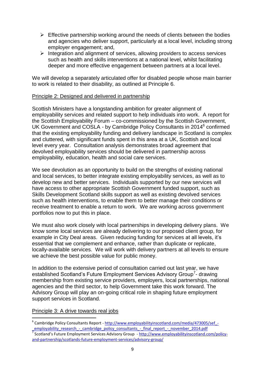- $\triangleright$  Effective partnership working around the needs of clients between the bodies and agencies who deliver support, particularly at a local level, including strong employer engagement; and,
- $\triangleright$  Integration and alignment of services, allowing providers to access services such as health and skills interventions at a national level, whilst facilitating deeper and more effective engagement between partners at a local level.

We will develop a separately articulated offer for disabled people whose main barrier to work is related to their disability, as outlined at Principle 6.

#### Principle 2: Designed and delivered in partnership

Scottish Ministers have a longstanding ambition for greater alignment of employability services and related support to help individuals into work. A report for the Scottish Employability Forum – co-commissioned by the Scottish Government, UK Government and COSLA - by Cambridge Policy Consultants in 2014<sup>6</sup> confirmed that the existing employability funding and delivery landscape in Scotland is complex and cluttered, with significant funds spent in this area at a UK. Scottish and local level every year. Consultation analysis demonstrates broad agreement that devolved employability services should be delivered in partnership across employability, education, health and social care services.

We see devolution as an opportunity to build on the strengths of existing national and local services, to better integrate existing employability services, as well as to develop new and better services. Individuals supported by our new services will have access to other appropriate Scottish Government funded support, such as Skills Development Scotland skills support as well as existing devolved services such as health interventions, to enable them to better manage their conditions or receive treatment to enable a return to work. We are working across government portfolios now to put this in place.

We must also work closely with local partnerships in developing delivery plans. We know some local services are already delivering to our proposed client group, for example in City Deal areas. Given reducing funding for services at all levels, it's essential that we complement and enhance, rather than duplicate or replicate, locally-available services. We will work with delivery partners at all levels to ensure we achieve the best possible value for public money.

In addition to the extensive period of consultation carried out last year, we have established Scotland's Future Employment Services Advisory Group<sup>7</sup>- drawing membership from existing service providers, employers, local partnerships, national agencies and the third sector, to help Government take this work forward. The Advisory Group will play an on-going critical role in shaping future employment support services in Scotland.

# Principle 3: A drive towards real jobs

**.** 

employability research - cambridge policy consultants - final report - november 2014.pdf<br><sup>7</sup> Scotland's Future Employment Services Advisory Group - <u>http://www.employabilityinscotland.com/policy-</u> [and-partnership/scotlands-future-employment-services/advisory-group/](http://www.employabilityinscotland.com/policy-and-partnership/scotlands-future-employment-services/advisory-group/)

<sup>&</sup>lt;sup>6</sup> Cambridge Policy Consultants Report - http://www.employabilityinscotland.com/media/473005/sef -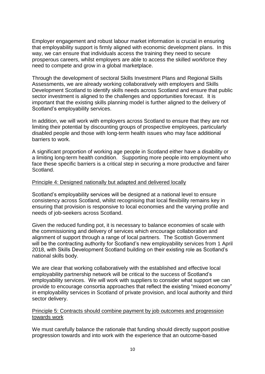Employer engagement and robust labour market information is crucial in ensuring that employability support is firmly aligned with economic development plans. In this way, we can ensure that individuals access the training they need to secure prosperous careers, whilst employers are able to access the skilled workforce they need to compete and grow in a global marketplace.

Through the development of sectoral Skills Investment Plans and Regional Skills Assessments, we are already working collaboratively with employers and Skills Development Scotland to identify skills needs across Scotland and ensure that public sector investment is aligned to the challenges and opportunities forecast. It is important that the existing skills planning model is further aligned to the delivery of Scotland's employability services.

In addition, we will work with employers across Scotland to ensure that they are not limiting their potential by discounting groups of prospective employees, particularly disabled people and those with long-term health issues who may face additional barriers to work.

A significant proportion of working age people in Scotland either have a disability or a limiting long-term health condition. Supporting more people into employment who face these specific barriers is a critical step in securing a more productive and fairer Scotland.

#### Principle 4: Designed nationally but adapted and delivered locally

Scotland's employability services will be designed at a national level to ensure consistency across Scotland, whilst recognising that local flexibility remains key in ensuring that provision is responsive to local economies and the varying profile and needs of job-seekers across Scotland.

Given the reduced funding pot, it is necessary to balance economies of scale with the commissioning and delivery of services which encourage collaboration and alignment of support through a range of local partners. The Scottish Government will be the contracting authority for Scotland's new employability services from 1 April 2018, with Skills Development Scotland building on their existing role as Scotland's national skills body.

We are clear that working collaboratively with the established and effective local employability partnership network will be critical to the success of Scotland's employability services. We will work with suppliers to consider what support we can provide to encourage consortia approaches that reflect the existing "mixed economy" in employability services in Scotland of private provision, and local authority and third sector delivery.

# Principle 5: Contracts should combine payment by job outcomes and progression towards work

We must carefully balance the rationale that funding should directly support positive progression towards and into work with the experience that an outcome-based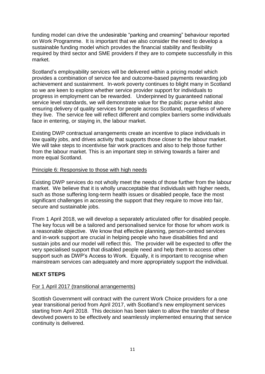funding model can drive the undesirable "parking and creaming" behaviour reported on Work Programme. It is important that we also consider the need to develop a sustainable funding model which provides the financial stability and flexibility required by third sector and SME providers if they are to compete successfully in this market.

Scotland's employability services will be delivered within a pricing model which provides a combination of service fee and outcome-based payments rewarding job achievement and sustainment. In-work poverty continues to blight many in Scotland so we are keen to explore whether service provider support for individuals to progress in employment can be rewarded. Underpinned by guaranteed national service level standards, we will demonstrate value for the public purse whilst also ensuring delivery of quality services for people across Scotland, regardless of where they live. The service fee will reflect different and complex barriers some individuals face in entering, or staying in, the labour market.

Existing DWP contractual arrangements create an incentive to place individuals in low quality jobs, and drives activity that supports those closer to the labour market. We will take steps to incentivise fair work practices and also to help those further from the labour market. This is an important step in striving towards a fairer and more equal Scotland.

# Principle 6: Responsive to those with high needs

Existing DWP services do not wholly meet the needs of those further from the labour market. We believe that it is wholly unacceptable that individuals with higher needs, such as those suffering long-term health issues or disabled people, face the most significant challenges in accessing the support that they require to move into fair, secure and sustainable jobs.

From 1 April 2018, we will develop a separately articulated offer for disabled people. The key focus will be a tailored and personalised service for those for whom work is a reasonable objective. We know that effective planning, person-centred services and in-work support are crucial in helping people who have disabilities find and sustain jobs and our model will reflect this. The provider will be expected to offer the very specialised support that disabled people need and help them to access other support such as DWP's Access to Work. Equally, it is important to recognise when mainstream services can adequately and more appropriately support the individual.

# **NEXT STEPS**

# For 1 April 2017 (transitional arrangements)

Scottish Government will contract with the current Work Choice providers for a one year transitional period from April 2017, with Scotland's new employment services starting from April 2018. This decision has been taken to allow the transfer of these devolved powers to be effectively and seamlessly implemented ensuring that service continuity is delivered.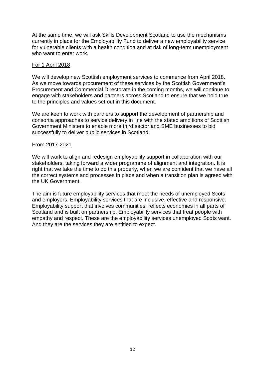At the same time, we will ask Skills Development Scotland to use the mechanisms currently in place for the Employability Fund to deliver a new employability service for vulnerable clients with a health condition and at risk of long-term unemployment who want to enter work.

# For 1 April 2018

We will develop new Scottish employment services to commence from April 2018. As we move towards procurement of these services by the Scottish Government's Procurement and Commercial Directorate in the coming months, we will continue to engage with stakeholders and partners across Scotland to ensure that we hold true to the principles and values set out in this document.

We are keen to work with partners to support the development of partnership and consortia approaches to service delivery in line with the stated ambitions of Scottish Government Ministers to enable more third sector and SME businesses to bid successfully to deliver public services in Scotland.

# From 2017-2021

We will work to align and redesign employability support in collaboration with our stakeholders, taking forward a wider programme of alignment and integration. It is right that we take the time to do this properly, when we are confident that we have all the correct systems and processes in place and when a transition plan is agreed with the UK Government.

The aim is future employability services that meet the needs of unemployed Scots and employers. Employability services that are inclusive, effective and responsive. Employability support that involves communities, reflects economies in all parts of Scotland and is built on partnership. Employability services that treat people with empathy and respect. These are the employability services unemployed Scots want. And they are the services they are entitled to expect.